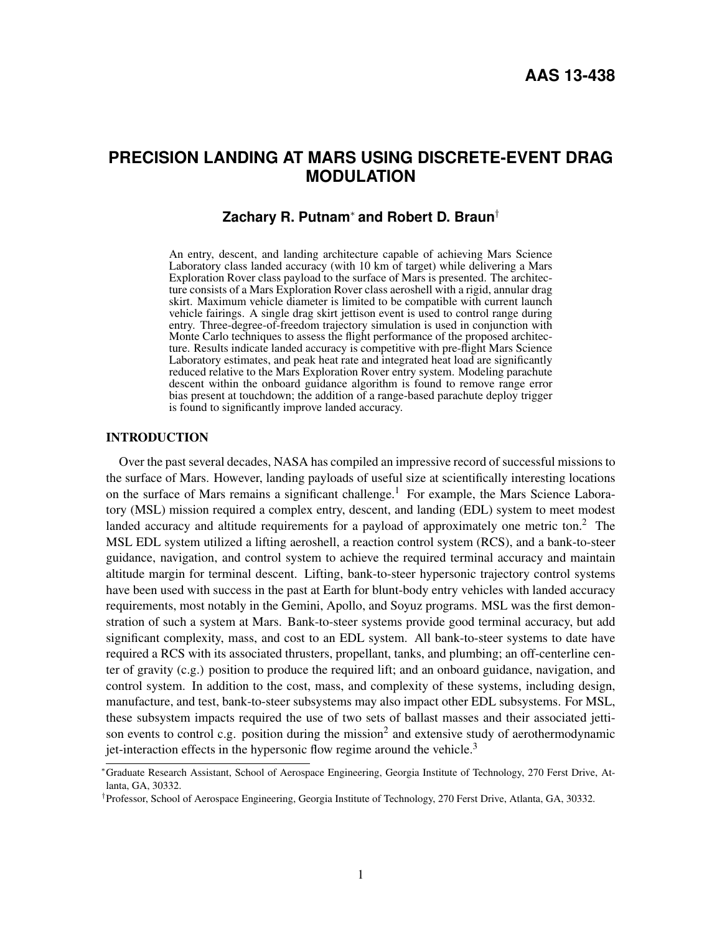# **PRECISION LANDING AT MARS USING DISCRETE-EVENT DRAG MODULATION**

## **Zachary R. Putnam**<sup>∗</sup> **and Robert D. Braun**†

An entry, descent, and landing architecture capable of achieving Mars Science Laboratory class landed accuracy (with 10 km of target) while delivering a Mars Exploration Rover class payload to the surface of Mars is presented. The architecture consists of a Mars Exploration Rover class aeroshell with a rigid, annular drag skirt. Maximum vehicle diameter is limited to be compatible with current launch vehicle fairings. A single drag skirt jettison event is used to control range during entry. Three-degree-of-freedom trajectory simulation is used in conjunction with Monte Carlo techniques to assess the flight performance of the proposed architecture. Results indicate landed accuracy is competitive with pre-flight Mars Science Laboratory estimates, and peak heat rate and integrated heat load are significantly reduced relative to the Mars Exploration Rover entry system. Modeling parachute descent within the onboard guidance algorithm is found to remove range error bias present at touchdown; the addition of a range-based parachute deploy trigger is found to significantly improve landed accuracy.

## INTRODUCTION

Over the past several decades, NASA has compiled an impressive record of successful missions to the surface of Mars. However, landing payloads of useful size at scientifically interesting locations on the surface of Mars remains a significant challenge.<sup>[1](#page-18-0)</sup> For example, the Mars Science Laboratory (MSL) mission required a complex entry, descent, and landing (EDL) system to meet modest landed accuracy and altitude requirements for a payload of approximately one metric ton.<sup>[2](#page-18-1)</sup> The MSL EDL system utilized a lifting aeroshell, a reaction control system (RCS), and a bank-to-steer guidance, navigation, and control system to achieve the required terminal accuracy and maintain altitude margin for terminal descent. Lifting, bank-to-steer hypersonic trajectory control systems have been used with success in the past at Earth for blunt-body entry vehicles with landed accuracy requirements, most notably in the Gemini, Apollo, and Soyuz programs. MSL was the first demonstration of such a system at Mars. Bank-to-steer systems provide good terminal accuracy, but add significant complexity, mass, and cost to an EDL system. All bank-to-steer systems to date have required a RCS with its associated thrusters, propellant, tanks, and plumbing; an off-centerline center of gravity (c.g.) position to produce the required lift; and an onboard guidance, navigation, and control system. In addition to the cost, mass, and complexity of these systems, including design, manufacture, and test, bank-to-steer subsystems may also impact other EDL subsystems. For MSL, these subsystem impacts required the use of two sets of ballast masses and their associated jetti-son events to control c.g. position during the mission<sup>[2](#page-18-1)</sup> and extensive study of aerothermodynamic jet-interaction effects in the hypersonic flow regime around the vehicle.<sup>[3](#page-18-2)</sup>

<sup>∗</sup>Graduate Research Assistant, School of Aerospace Engineering, Georgia Institute of Technology, 270 Ferst Drive, Atlanta, GA, 30332.

<sup>†</sup> Professor, School of Aerospace Engineering, Georgia Institute of Technology, 270 Ferst Drive, Atlanta, GA, 30332.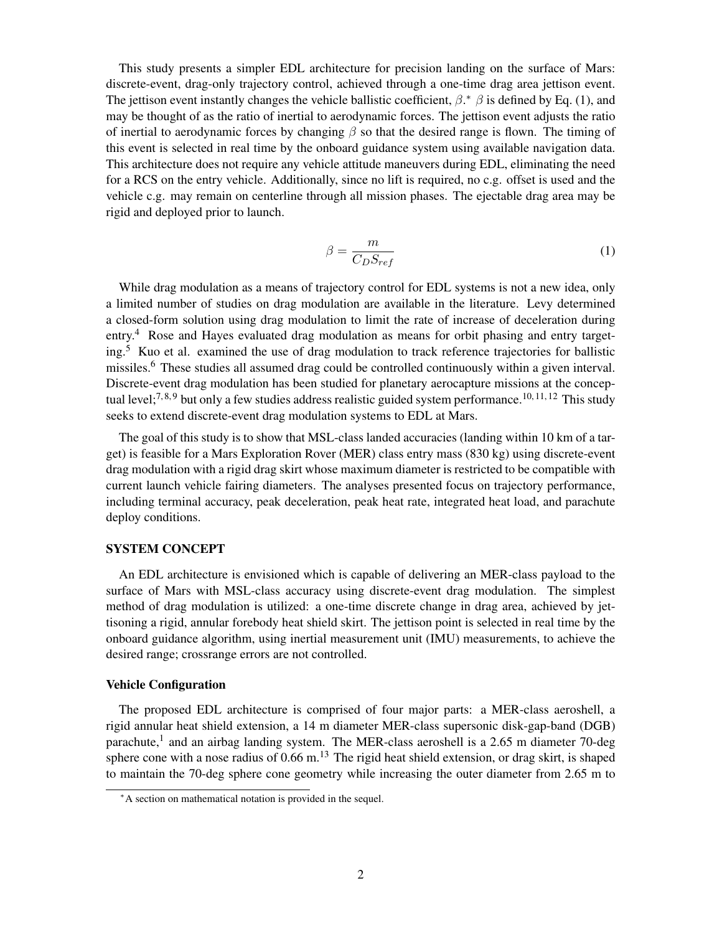This study presents a simpler EDL architecture for precision landing on the surface of Mars: discrete-event, drag-only trajectory control, achieved through a one-time drag area jettison event. The jettison event instantly changes the vehicle ballistic coefficient,  $\beta$ .\*  $\beta$  is defined by Eq. [\(1\)](#page-1-1), and may be thought of as the ratio of inertial to aerodynamic forces. The jettison event adjusts the ratio of inertial to aerodynamic forces by changing  $\beta$  so that the desired range is flown. The timing of this event is selected in real time by the onboard guidance system using available navigation data. This architecture does not require any vehicle attitude maneuvers during EDL, eliminating the need for a RCS on the entry vehicle. Additionally, since no lift is required, no c.g. offset is used and the vehicle c.g. may remain on centerline through all mission phases. The ejectable drag area may be rigid and deployed prior to launch.

<span id="page-1-1"></span>
$$
\beta = \frac{m}{C_D S_{ref}}\tag{1}
$$

While drag modulation as a means of trajectory control for EDL systems is not a new idea, only a limited number of studies on drag modulation are available in the literature. Levy determined a closed-form solution using drag modulation to limit the rate of increase of deceleration during entry.<sup>[4](#page-18-3)</sup> Rose and Hayes evaluated drag modulation as means for orbit phasing and entry target-ing.<sup>[5](#page-18-4)</sup> Kuo et al. examined the use of drag modulation to track reference trajectories for ballistic missiles.<sup>[6](#page-18-5)</sup> These studies all assumed drag could be controlled continuously within a given interval. Discrete-event drag modulation has been studied for planetary aerocapture missions at the concep-tual level;<sup>[7,](#page-19-0)[8,](#page-19-1)[9](#page-19-2)</sup> but only a few studies address realistic guided system performance.<sup>[10,](#page-19-3) [11,](#page-19-4) [12](#page-19-5)</sup> This study seeks to extend discrete-event drag modulation systems to EDL at Mars.

The goal of this study is to show that MSL-class landed accuracies (landing within 10 km of a target) is feasible for a Mars Exploration Rover (MER) class entry mass (830 kg) using discrete-event drag modulation with a rigid drag skirt whose maximum diameter is restricted to be compatible with current launch vehicle fairing diameters. The analyses presented focus on trajectory performance, including terminal accuracy, peak deceleration, peak heat rate, integrated heat load, and parachute deploy conditions.

#### SYSTEM CONCEPT

An EDL architecture is envisioned which is capable of delivering an MER-class payload to the surface of Mars with MSL-class accuracy using discrete-event drag modulation. The simplest method of drag modulation is utilized: a one-time discrete change in drag area, achieved by jettisoning a rigid, annular forebody heat shield skirt. The jettison point is selected in real time by the onboard guidance algorithm, using inertial measurement unit (IMU) measurements, to achieve the desired range; crossrange errors are not controlled.

#### Vehicle Configuration

The proposed EDL architecture is comprised of four major parts: a MER-class aeroshell, a rigid annular heat shield extension, a 14 m diameter MER-class supersonic disk-gap-band (DGB) parachute,<sup>[1](#page-18-0)</sup> and an airbag landing system. The MER-class aeroshell is a 2.65 m diameter 70-deg sphere cone with a nose radius of  $0.66$  m.<sup>[13](#page-19-6)</sup> The rigid heat shield extension, or drag skirt, is shaped to maintain the 70-deg sphere cone geometry while increasing the outer diameter from 2.65 m to

<span id="page-1-0"></span><sup>∗</sup>A section on mathematical notation is provided in the sequel.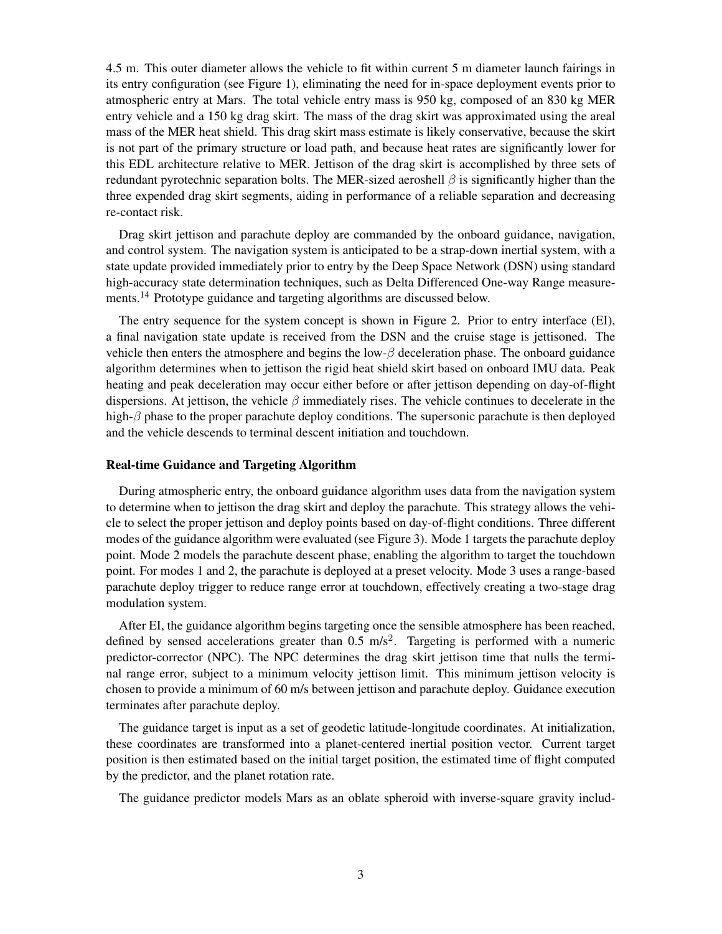4.5 m. This outer diameter allows the vehicle to fit within current 5 m diameter launch fairings in its entry configuration (see Figure [1\)](#page-3-0), eliminating the need for in-space deployment events prior to atmospheric entry at Mars. The total vehicle entry mass is 950 kg, composed of an 830 kg MER entry vehicle and a 150 kg drag skirt. The mass of the drag skirt was approximated using the areal mass of the MER heat shield. This drag skirt mass estimate is likely conservative, because the skirt is not part of the primary structure or load path, and because heat rates are significantly lower for this EDL architecture relative to MER. Jettison of the drag skirt is accomplished by three sets of redundant pyrotechnic separation bolts. The MER-sized aeroshell  $\beta$  is significantly higher than the three expended drag skirt segments, aiding in performance of a reliable separation and decreasing re-contact risk.

Drag skirt jettison and parachute deploy are commanded by the onboard guidance, navigation, and control system. The navigation system is anticipated to be a strap-down inertial system, with a state update provided immediately prior to entry by the Deep Space Network (DSN) using standard high-accuracy state determination techniques, such as Delta Differenced One-way Range measure-ments.<sup>[14](#page-19-7)</sup> Prototype guidance and targeting algorithms are discussed below.

The entry sequence for the system concept is shown in Figure [2.](#page-3-1) Prior to entry interface (EI), a final navigation state update is received from the DSN and the cruise stage is jettisoned. The vehicle then enters the atmosphere and begins the  $low-\beta$  deceleration phase. The onboard guidance algorithm determines when to jettison the rigid heat shield skirt based on onboard IMU data. Peak heating and peak deceleration may occur either before or after jettison depending on day-of-flight dispersions. At jettison, the vehicle  $\beta$  immediately rises. The vehicle continues to decelerate in the high- $\beta$  phase to the proper parachute deploy conditions. The supersonic parachute is then deployed and the vehicle descends to terminal descent initiation and touchdown.

#### Real-time Guidance and Targeting Algorithm

During atmospheric entry, the onboard guidance algorithm uses data from the navigation system to determine when to jettison the drag skirt and deploy the parachute. This strategy allows the vehicle to select the proper jettison and deploy points based on day-of-flight conditions. Three different modes of the guidance algorithm were evaluated (see Figure [3\)](#page-4-0). Mode 1 targets the parachute deploy point. Mode 2 models the parachute descent phase, enabling the algorithm to target the touchdown point. For modes 1 and 2, the parachute is deployed at a preset velocity. Mode 3 uses a range-based parachute deploy trigger to reduce range error at touchdown, effectively creating a two-stage drag modulation system.

After EI, the guidance algorithm begins targeting once the sensible atmosphere has been reached, defined by sensed accelerations greater than  $0.5 \text{ m/s}^2$ . Targeting is performed with a numeric predictor-corrector (NPC). The NPC determines the drag skirt jettison time that nulls the terminal range error, subject to a minimum velocity jettison limit. This minimum jettison velocity is chosen to provide a minimum of 60 m/s between jettison and parachute deploy. Guidance execution terminates after parachute deploy.

The guidance target is input as a set of geodetic latitude-longitude coordinates. At initialization, these coordinates are transformed into a planet-centered inertial position vector. Current target position is then estimated based on the initial target position, the estimated time of flight computed by the predictor, and the planet rotation rate.

The guidance predictor models Mars as an oblate spheroid with inverse-square gravity includ-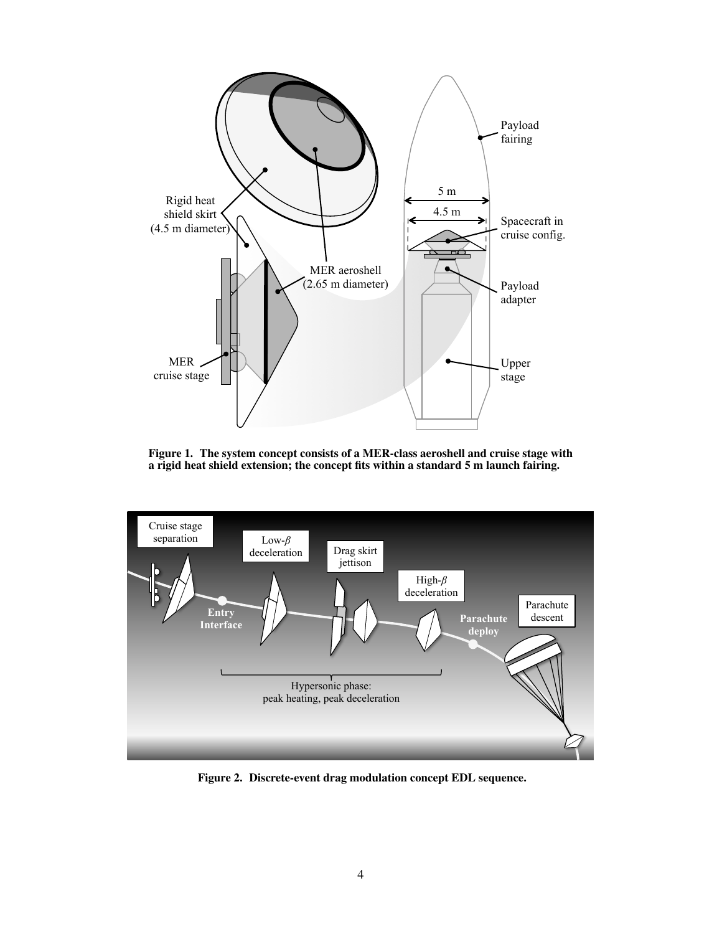

<span id="page-3-0"></span>Figure 1. The system concept consists of a MER-class aeroshell and cruise stage with a rigid heat shield extension; the concept fits within a standard 5 m launch fairing.



<span id="page-3-1"></span>Figure 2. Discrete-event drag modulation concept EDL sequence.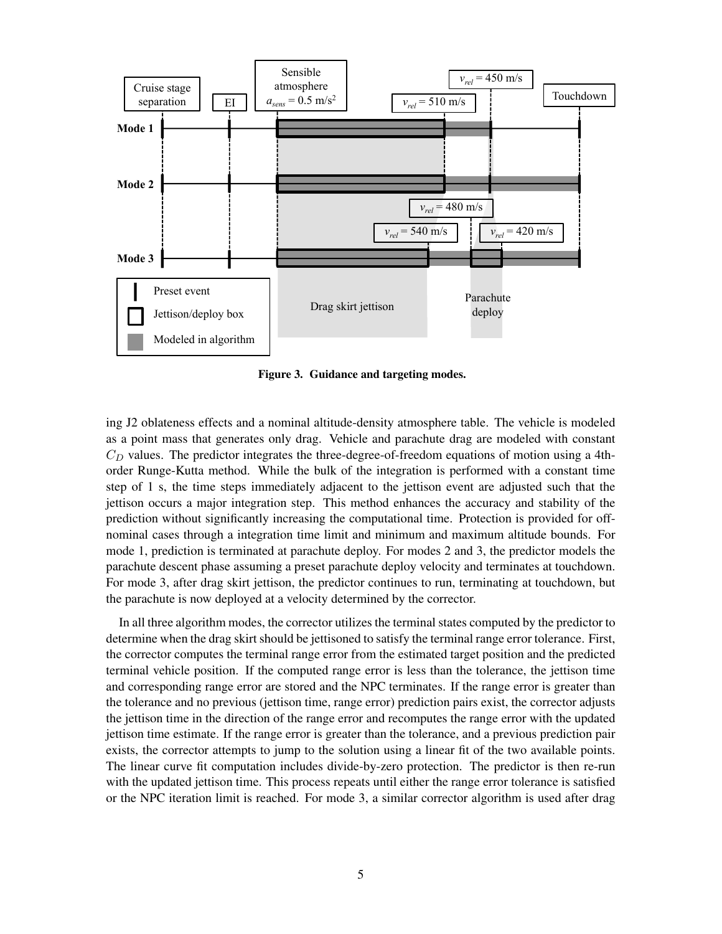

<span id="page-4-0"></span>Figure 3. Guidance and targeting modes.

ing J2 oblateness effects and a nominal altitude-density atmosphere table. The vehicle is modeled as a point mass that generates only drag. Vehicle and parachute drag are modeled with constant  $C<sub>D</sub>$  values. The predictor integrates the three-degree-of-freedom equations of motion using a 4thorder Runge-Kutta method. While the bulk of the integration is performed with a constant time step of 1 s, the time steps immediately adjacent to the jettison event are adjusted such that the jettison occurs a major integration step. This method enhances the accuracy and stability of the prediction without significantly increasing the computational time. Protection is provided for offnominal cases through a integration time limit and minimum and maximum altitude bounds. For mode 1, prediction is terminated at parachute deploy. For modes 2 and 3, the predictor models the parachute descent phase assuming a preset parachute deploy velocity and terminates at touchdown. For mode 3, after drag skirt jettison, the predictor continues to run, terminating at touchdown, but the parachute is now deployed at a velocity determined by the corrector.

In all three algorithm modes, the corrector utilizes the terminal states computed by the predictor to determine when the drag skirt should be jettisoned to satisfy the terminal range error tolerance. First, the corrector computes the terminal range error from the estimated target position and the predicted terminal vehicle position. If the computed range error is less than the tolerance, the jettison time and corresponding range error are stored and the NPC terminates. If the range error is greater than the tolerance and no previous (jettison time, range error) prediction pairs exist, the corrector adjusts the jettison time in the direction of the range error and recomputes the range error with the updated jettison time estimate. If the range error is greater than the tolerance, and a previous prediction pair exists, the corrector attempts to jump to the solution using a linear fit of the two available points. The linear curve fit computation includes divide-by-zero protection. The predictor is then re-run with the updated jettison time. This process repeats until either the range error tolerance is satisfied or the NPC iteration limit is reached. For mode 3, a similar corrector algorithm is used after drag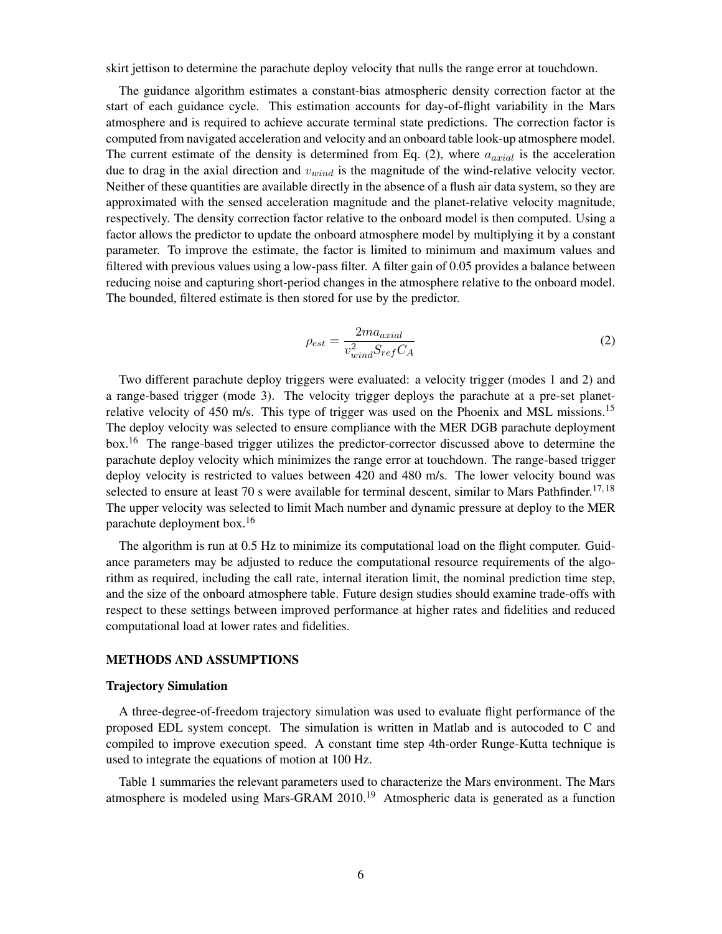skirt jettison to determine the parachute deploy velocity that nulls the range error at touchdown.

The guidance algorithm estimates a constant-bias atmospheric density correction factor at the start of each guidance cycle. This estimation accounts for day-of-flight variability in the Mars atmosphere and is required to achieve accurate terminal state predictions. The correction factor is computed from navigated acceleration and velocity and an onboard table look-up atmosphere model. The current estimate of the density is determined from Eq. [\(2\)](#page-5-0), where  $a_{axial}$  is the acceleration due to drag in the axial direction and  $v_{wind}$  is the magnitude of the wind-relative velocity vector. Neither of these quantities are available directly in the absence of a flush air data system, so they are approximated with the sensed acceleration magnitude and the planet-relative velocity magnitude, respectively. The density correction factor relative to the onboard model is then computed. Using a factor allows the predictor to update the onboard atmosphere model by multiplying it by a constant parameter. To improve the estimate, the factor is limited to minimum and maximum values and filtered with previous values using a low-pass filter. A filter gain of 0.05 provides a balance between reducing noise and capturing short-period changes in the atmosphere relative to the onboard model. The bounded, filtered estimate is then stored for use by the predictor.

<span id="page-5-0"></span>
$$
\rho_{est} = \frac{2ma_{axial}}{v_{wind}^2 S_{ref} C_A} \tag{2}
$$

Two different parachute deploy triggers were evaluated: a velocity trigger (modes 1 and 2) and a range-based trigger (mode 3). The velocity trigger deploys the parachute at a pre-set planet-relative velocity of 450 m/s. This type of trigger was used on the Phoenix and MSL missions.<sup>[15](#page-19-8)</sup> The deploy velocity was selected to ensure compliance with the MER DGB parachute deployment box.<sup>[16](#page-19-9)</sup> The range-based trigger utilizes the predictor-corrector discussed above to determine the parachute deploy velocity which minimizes the range error at touchdown. The range-based trigger deploy velocity is restricted to values between 420 and 480 m/s. The lower velocity bound was selected to ensure at least 70 s were available for terminal descent, similar to Mars Pathfinder.<sup>[17,](#page-19-10) [18](#page-19-11)</sup> The upper velocity was selected to limit Mach number and dynamic pressure at deploy to the MER parachute deployment box.<sup>[16](#page-19-9)</sup>

The algorithm is run at 0.5 Hz to minimize its computational load on the flight computer. Guidance parameters may be adjusted to reduce the computational resource requirements of the algorithm as required, including the call rate, internal iteration limit, the nominal prediction time step, and the size of the onboard atmosphere table. Future design studies should examine trade-offs with respect to these settings between improved performance at higher rates and fidelities and reduced computational load at lower rates and fidelities.

## METHODS AND ASSUMPTIONS

## Trajectory Simulation

A three-degree-of-freedom trajectory simulation was used to evaluate flight performance of the proposed EDL system concept. The simulation is written in Matlab and is autocoded to C and compiled to improve execution speed. A constant time step 4th-order Runge-Kutta technique is used to integrate the equations of motion at 100 Hz.

Table [1](#page-6-0) summaries the relevant parameters used to characterize the Mars environment. The Mars atmosphere is modeled using Mars-GRAM 2010.<sup>[19](#page-19-12)</sup> Atmospheric data is generated as a function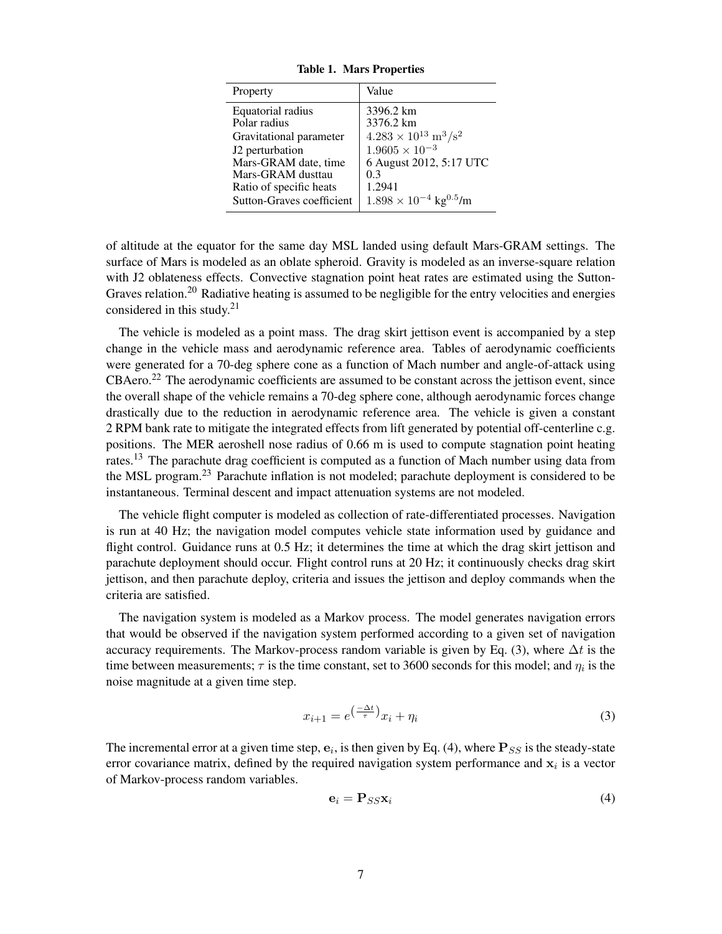| Property                  | Value                                         |
|---------------------------|-----------------------------------------------|
| Equatorial radius         | 3396.2 km                                     |
| Polar radius              | 3376.2 km                                     |
| Gravitational parameter   | $4.283 \times 10^{13} \text{ m}^3/\text{s}^2$ |
| J2 perturbation           | $1.9605 \times 10^{-3}$                       |
| Mars-GRAM date, time      | 6 August 2012, 5:17 UTC                       |
| Mars-GRAM dusttau         | 0.3                                           |
| Ratio of specific heats   | 1.2941                                        |
| Sutton-Graves coefficient | $1.898 \times 10^{-4}$ kg <sup>0.5</sup> /m   |

<span id="page-6-0"></span>Table 1. Mars Properties

of altitude at the equator for the same day MSL landed using default Mars-GRAM settings. The surface of Mars is modeled as an oblate spheroid. Gravity is modeled as an inverse-square relation with J2 oblateness effects. Convective stagnation point heat rates are estimated using the Sutton-Graves relation.<sup>[20](#page-19-13)</sup> Radiative heating is assumed to be negligible for the entry velocities and energies considered in this study. $21$ 

The vehicle is modeled as a point mass. The drag skirt jettison event is accompanied by a step change in the vehicle mass and aerodynamic reference area. Tables of aerodynamic coefficients were generated for a 70-deg sphere cone as a function of Mach number and angle-of-attack using CBAero.<sup>[22](#page-19-15)</sup> The aerodynamic coefficients are assumed to be constant across the jettison event, since the overall shape of the vehicle remains a 70-deg sphere cone, although aerodynamic forces change drastically due to the reduction in aerodynamic reference area. The vehicle is given a constant 2 RPM bank rate to mitigate the integrated effects from lift generated by potential off-centerline c.g. positions. The MER aeroshell nose radius of 0.66 m is used to compute stagnation point heating rates.<sup>[13](#page-19-6)</sup> The parachute drag coefficient is computed as a function of Mach number using data from the MSL program.[23](#page-19-16) Parachute inflation is not modeled; parachute deployment is considered to be instantaneous. Terminal descent and impact attenuation systems are not modeled.

The vehicle flight computer is modeled as collection of rate-differentiated processes. Navigation is run at 40 Hz; the navigation model computes vehicle state information used by guidance and flight control. Guidance runs at 0.5 Hz; it determines the time at which the drag skirt jettison and parachute deployment should occur. Flight control runs at 20 Hz; it continuously checks drag skirt jettison, and then parachute deploy, criteria and issues the jettison and deploy commands when the criteria are satisfied.

The navigation system is modeled as a Markov process. The model generates navigation errors that would be observed if the navigation system performed according to a given set of navigation accuracy requirements. The Markov-process random variable is given by Eq. [\(3\)](#page-6-1), where  $\Delta t$  is the time between measurements;  $\tau$  is the time constant, set to 3600 seconds for this model; and  $\eta_i$  is the noise magnitude at a given time step.

<span id="page-6-1"></span>
$$
x_{i+1} = e^{\left(\frac{-\Delta t}{\tau}\right)} x_i + \eta_i \tag{3}
$$

The incremental error at a given time step,  $e_i$ , is then given by Eq. [\(4\)](#page-6-2), where  $P_{SS}$  is the steady-state error covariance matrix, defined by the required navigation system performance and  $x_i$  is a vector of Markov-process random variables.

<span id="page-6-2"></span>
$$
\mathbf{e}_i = \mathbf{P}_{SS} \mathbf{x}_i \tag{4}
$$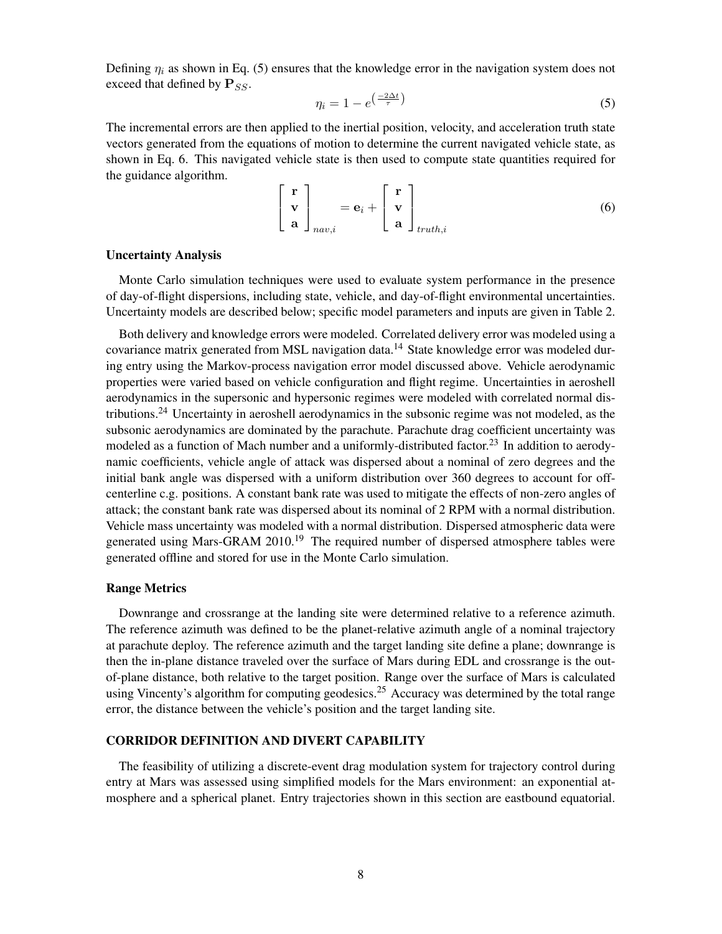Defining  $\eta_i$  as shown in Eq. [\(5\)](#page-7-0) ensures that the knowledge error in the navigation system does not exceed that defined by  $\mathbf{P}_{SS}$ .

<span id="page-7-0"></span>
$$
\eta_i = 1 - e^{\left(\frac{-2\Delta t}{\tau}\right)}\tag{5}
$$

The incremental errors are then applied to the inertial position, velocity, and acceleration truth state vectors generated from the equations of motion to determine the current navigated vehicle state, as shown in Eq. [6.](#page-7-1) This navigated vehicle state is then used to compute state quantities required for the guidance algorithm.

<span id="page-7-1"></span>
$$
\begin{bmatrix} \mathbf{r} \\ \mathbf{v} \\ \mathbf{a} \end{bmatrix}_{nav,i} = \mathbf{e}_i + \begin{bmatrix} \mathbf{r} \\ \mathbf{v} \\ \mathbf{a} \end{bmatrix}_{truth,i}
$$
(6)

## Uncertainty Analysis

Monte Carlo simulation techniques were used to evaluate system performance in the presence of day-of-flight dispersions, including state, vehicle, and day-of-flight environmental uncertainties. Uncertainty models are described below; specific model parameters and inputs are given in Table [2.](#page-8-0)

Both delivery and knowledge errors were modeled. Correlated delivery error was modeled using a covariance matrix generated from MSL navigation data.<sup>[14](#page-19-7)</sup> State knowledge error was modeled during entry using the Markov-process navigation error model discussed above. Vehicle aerodynamic properties were varied based on vehicle configuration and flight regime. Uncertainties in aeroshell aerodynamics in the supersonic and hypersonic regimes were modeled with correlated normal dis-tributions.<sup>[24](#page-19-17)</sup> Uncertainty in aeroshell aerodynamics in the subsonic regime was not modeled, as the subsonic aerodynamics are dominated by the parachute. Parachute drag coefficient uncertainty was modeled as a function of Mach number and a uniformly-distributed factor.<sup>[23](#page-19-16)</sup> In addition to aerodynamic coefficients, vehicle angle of attack was dispersed about a nominal of zero degrees and the initial bank angle was dispersed with a uniform distribution over 360 degrees to account for offcenterline c.g. positions. A constant bank rate was used to mitigate the effects of non-zero angles of attack; the constant bank rate was dispersed about its nominal of 2 RPM with a normal distribution. Vehicle mass uncertainty was modeled with a normal distribution. Dispersed atmospheric data were generated using Mars-GRAM  $2010$ <sup>[19](#page-19-12)</sup> The required number of dispersed atmosphere tables were generated offline and stored for use in the Monte Carlo simulation.

## Range Metrics

Downrange and crossrange at the landing site were determined relative to a reference azimuth. The reference azimuth was defined to be the planet-relative azimuth angle of a nominal trajectory at parachute deploy. The reference azimuth and the target landing site define a plane; downrange is then the in-plane distance traveled over the surface of Mars during EDL and crossrange is the outof-plane distance, both relative to the target position. Range over the surface of Mars is calculated using Vincenty's algorithm for computing geodesics.<sup>[25](#page-19-18)</sup> Accuracy was determined by the total range error, the distance between the vehicle's position and the target landing site.

## CORRIDOR DEFINITION AND DIVERT CAPABILITY

The feasibility of utilizing a discrete-event drag modulation system for trajectory control during entry at Mars was assessed using simplified models for the Mars environment: an exponential atmosphere and a spherical planet. Entry trajectories shown in this section are eastbound equatorial.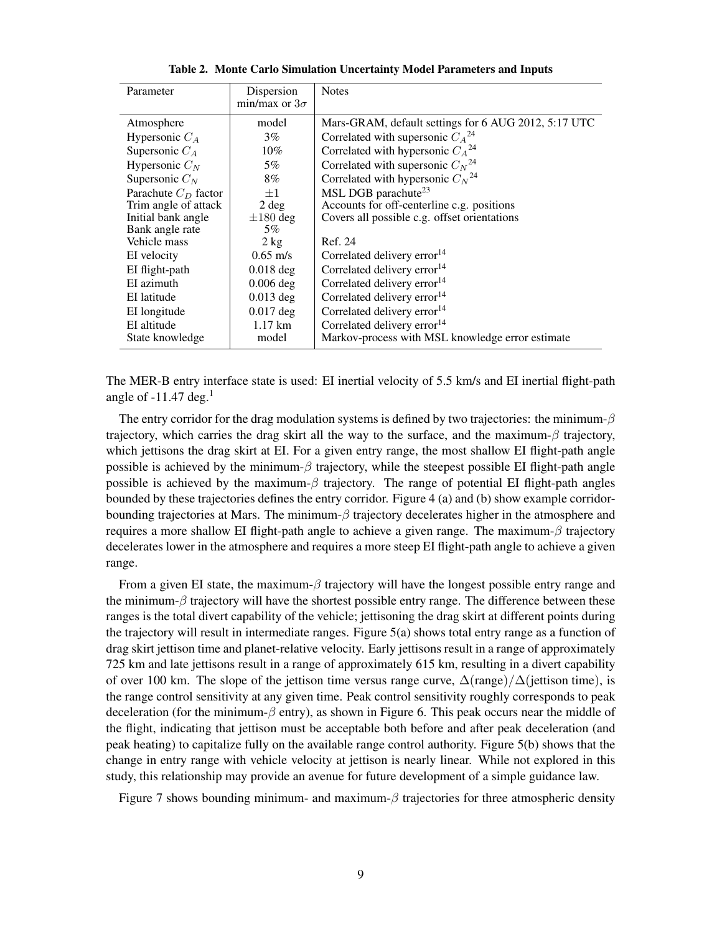| Parameter              | Dispersion<br>min/max or $3\sigma$ | <b>Notes</b>                                         |
|------------------------|------------------------------------|------------------------------------------------------|
| Atmosphere             | model                              | Mars-GRAM, default settings for 6 AUG 2012, 5:17 UTC |
| Hypersonic $C_A$       | $3\%$                              | Correlated with supersonic $C_A^{24}$                |
| Supersonic $C_A$       | 10%                                | Correlated with hypersonic $C_A^{24}$                |
| Hypersonic $C_N$       | 5%                                 | Correlated with supersonic $C_N^{24}$                |
| Supersonic $C_N$       | 8%                                 | Correlated with hypersonic $C_N^{24}$                |
| Parachute $C_D$ factor | $+1$                               | MSL DGB parachute <sup>23</sup>                      |
| Trim angle of attack   | $2 \deg$                           | Accounts for off-centerline c.g. positions           |
| Initial bank angle     | $\pm 180$ deg                      | Covers all possible c.g. offset orientations         |
| Bank angle rate        | 5%                                 |                                                      |
| Vehicle mass           | $2 \text{ kg}$                     | Ref. 24                                              |
| EI velocity            | $0.65 \text{ m/s}$                 | Correlated delivery error <sup>14</sup>              |
| EI flight-path         | $0.018$ deg                        | Correlated delivery error <sup>14</sup>              |
| EI azimuth             | $0.006$ deg                        | Correlated delivery error <sup>14</sup>              |
| EI latitude            | $0.013$ deg                        | Correlated delivery error <sup>14</sup>              |
| EI longitude           | $0.017$ deg                        | Correlated delivery error <sup>14</sup>              |
| EI altitude            | $1.17 \text{ km}$                  | Correlated delivery error <sup>14</sup>              |
| State knowledge        | model                              | Markov-process with MSL knowledge error estimate     |

<span id="page-8-0"></span>Table 2. Monte Carlo Simulation Uncertainty Model Parameters and Inputs

The MER-B entry interface state is used: EI inertial velocity of 5.5 km/s and EI inertial flight-path angle of  $-11.47$  $-11.47$  $-11.47$  deg.<sup>1</sup>

The entry corridor for the drag modulation systems is defined by two trajectories: the minimum- $\beta$ trajectory, which carries the drag skirt all the way to the surface, and the maximum- $\beta$  trajectory, which jettisons the drag skirt at EI. For a given entry range, the most shallow EI flight-path angle possible is achieved by the minimum- $\beta$  trajectory, while the steepest possible EI flight-path angle possible is achieved by the maximum- $\beta$  trajectory. The range of potential EI flight-path angles bounded by these trajectories defines the entry corridor. Figure [4](#page-9-0) (a) and (b) show example corridorbounding trajectories at Mars. The minimum-β trajectory decelerates higher in the atmosphere and requires a more shallow EI flight-path angle to achieve a given range. The maximum- $\beta$  trajectory decelerates lower in the atmosphere and requires a more steep EI flight-path angle to achieve a given range.

From a given EI state, the maximum- $\beta$  trajectory will have the longest possible entry range and the minimum- $\beta$  trajectory will have the shortest possible entry range. The difference between these ranges is the total divert capability of the vehicle; jettisoning the drag skirt at different points during the trajectory will result in intermediate ranges. Figure [5\(a\)](#page-9-1) shows total entry range as a function of drag skirt jettison time and planet-relative velocity. Early jettisons result in a range of approximately 725 km and late jettisons result in a range of approximately 615 km, resulting in a divert capability of over 100 km. The slope of the jettison time versus range curve,  $\Delta$ (range)/ $\Delta$ (jettison time), is the range control sensitivity at any given time. Peak control sensitivity roughly corresponds to peak deceleration (for the minimum- $\beta$  entry), as shown in Figure [6.](#page-10-0) This peak occurs near the middle of the flight, indicating that jettison must be acceptable both before and after peak deceleration (and peak heating) to capitalize fully on the available range control authority. Figure [5\(b\)](#page-9-2) shows that the change in entry range with vehicle velocity at jettison is nearly linear. While not explored in this study, this relationship may provide an avenue for future development of a simple guidance law.

Figure [7](#page-10-1) shows bounding minimum- and maximum- $\beta$  trajectories for three atmospheric density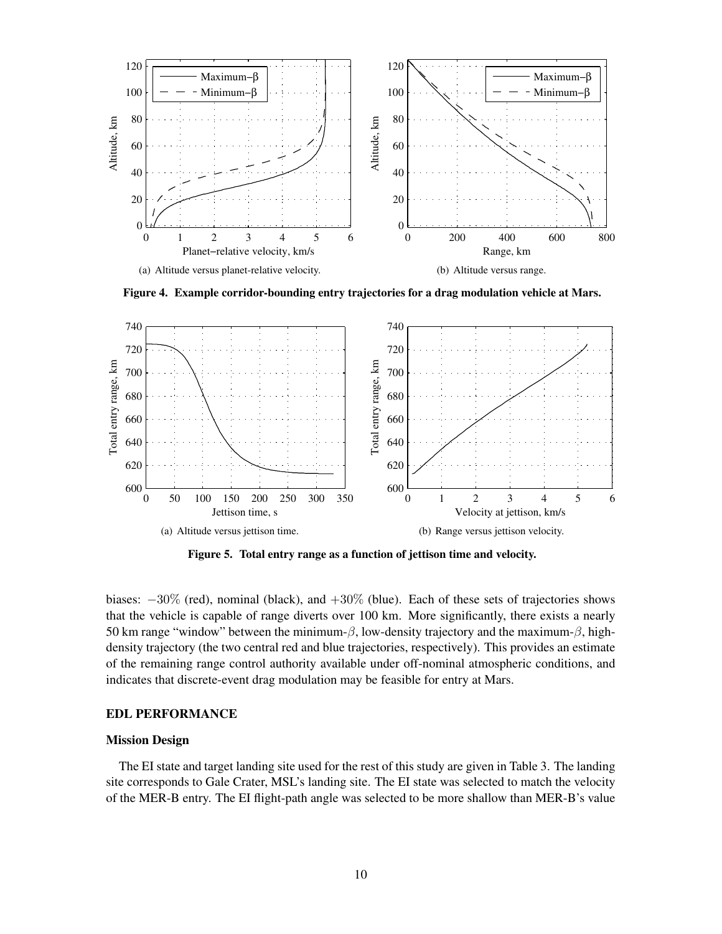

<span id="page-9-0"></span>Figure 4. Example corridor-bounding entry trajectories for a drag modulation vehicle at Mars.

<span id="page-9-1"></span>

<span id="page-9-2"></span>Figure 5. Total entry range as a function of jettison time and velocity.

biases:  $-30\%$  (red), nominal (black), and  $+30\%$  (blue). Each of these sets of trajectories shows that the vehicle is capable of range diverts over 100 km. More significantly, there exists a nearly 50 km range "window" between the minimum- $\beta$ , low-density trajectory and the maximum- $\beta$ , highdensity trajectory (the two central red and blue trajectories, respectively). This provides an estimate of the remaining range control authority available under off-nominal atmospheric conditions, and indicates that discrete-event drag modulation may be feasible for entry at Mars.

## EDL PERFORMANCE

## Mission Design

The EI state and target landing site used for the rest of this study are given in Table [3.](#page-11-0) The landing site corresponds to Gale Crater, MSL's landing site. The EI state was selected to match the velocity of the MER-B entry. The EI flight-path angle was selected to be more shallow than MER-B's value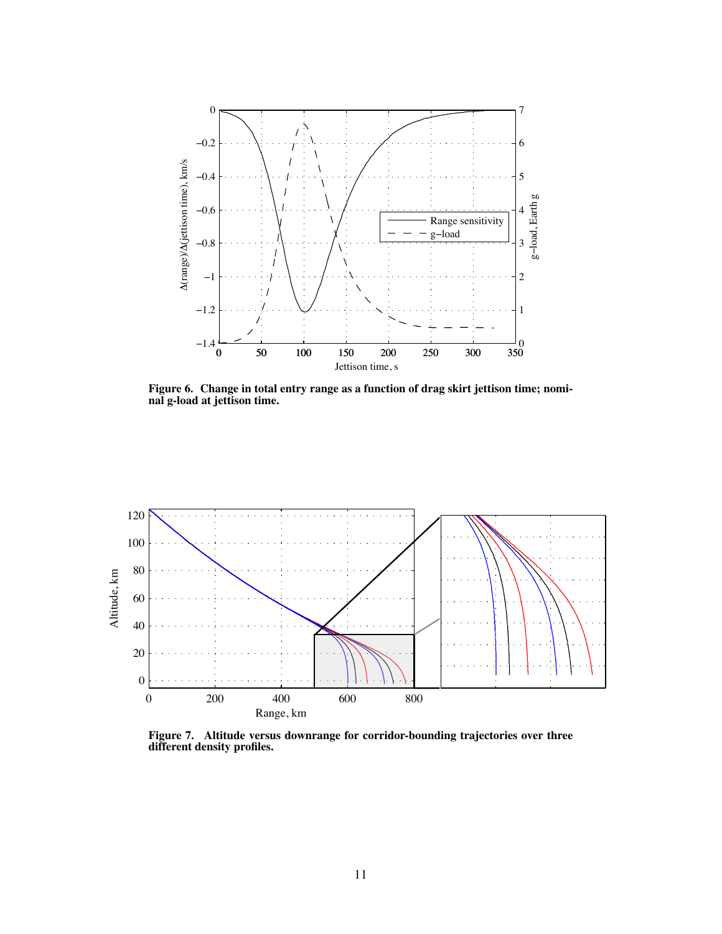

<span id="page-10-0"></span>Figure 6. Change in total entry range as a function of drag skirt jettison time; nominal g-load at jettison time.



<span id="page-10-1"></span>Figure 7. Altitude versus downrange for corridor-bounding trajectories over three different density profiles.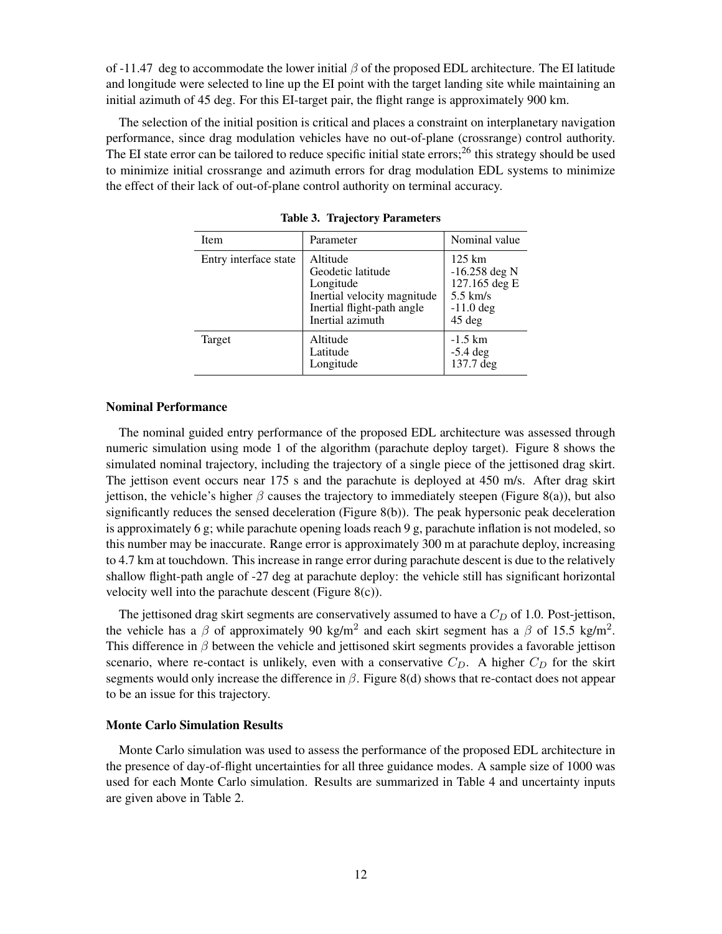of -11.47 deg to accommodate the lower initial  $\beta$  of the proposed EDL architecture. The EI latitude and longitude were selected to line up the EI point with the target landing site while maintaining an initial azimuth of 45 deg. For this EI-target pair, the flight range is approximately 900 km.

The selection of the initial position is critical and places a constraint on interplanetary navigation performance, since drag modulation vehicles have no out-of-plane (crossrange) control authority. The EI state error can be tailored to reduce specific initial state errors;<sup>[26](#page-19-19)</sup> this strategy should be used to minimize initial crossrange and azimuth errors for drag modulation EDL systems to minimize the effect of their lack of out-of-plane control authority on terminal accuracy.

| Item                  | Parameter                                                                                                                   | Nominal value                                                                               |
|-----------------------|-----------------------------------------------------------------------------------------------------------------------------|---------------------------------------------------------------------------------------------|
| Entry interface state | Altitude<br>Geodetic latitude<br>Longitude<br>Inertial velocity magnitude<br>Inertial flight-path angle<br>Inertial azimuth | $125 \text{ km}$<br>$-16.258$ deg N<br>127.165 deg E<br>$5.5$ km/s<br>$-11.0$ deg<br>45 deg |
| Target                | Altitude<br>Latitude<br>Longitude                                                                                           | $-1.5$ km<br>$-5.4$ deg<br>137.7 deg                                                        |

<span id="page-11-0"></span>Table 3. Trajectory Parameters

#### Nominal Performance

The nominal guided entry performance of the proposed EDL architecture was assessed through numeric simulation using mode 1 of the algorithm (parachute deploy target). Figure [8](#page-12-0) shows the simulated nominal trajectory, including the trajectory of a single piece of the jettisoned drag skirt. The jettison event occurs near 175 s and the parachute is deployed at 450 m/s. After drag skirt jettison, the vehicle's higher  $\beta$  causes the trajectory to immediately steepen (Figure [8\(a\)\)](#page-12-1), but also significantly reduces the sensed deceleration (Figure [8\(b\)\)](#page-12-2). The peak hypersonic peak deceleration is approximately 6 g; while parachute opening loads reach 9 g, parachute inflation is not modeled, so this number may be inaccurate. Range error is approximately 300 m at parachute deploy, increasing to 4.7 km at touchdown. This increase in range error during parachute descent is due to the relatively shallow flight-path angle of -27 deg at parachute deploy: the vehicle still has significant horizontal velocity well into the parachute descent (Figure  $8(c)$ ).

The jettisoned drag skirt segments are conservatively assumed to have a  $C_D$  of 1.0. Post-jettison, the vehicle has a  $\beta$  of approximately 90 kg/m<sup>2</sup> and each skirt segment has a  $\beta$  of 15.5 kg/m<sup>2</sup>. This difference in  $\beta$  between the vehicle and jettisoned skirt segments provides a favorable jettison scenario, where re-contact is unlikely, even with a conservative  $C_D$ . A higher  $C_D$  for the skirt segments would only increase the difference in β. Figure [8\(d\)](#page-12-4) shows that re-contact does not appear to be an issue for this trajectory.

#### Monte Carlo Simulation Results

Monte Carlo simulation was used to assess the performance of the proposed EDL architecture in the presence of day-of-flight uncertainties for all three guidance modes. A sample size of 1000 was used for each Monte Carlo simulation. Results are summarized in Table [4](#page-15-0) and uncertainty inputs are given above in Table [2.](#page-8-0)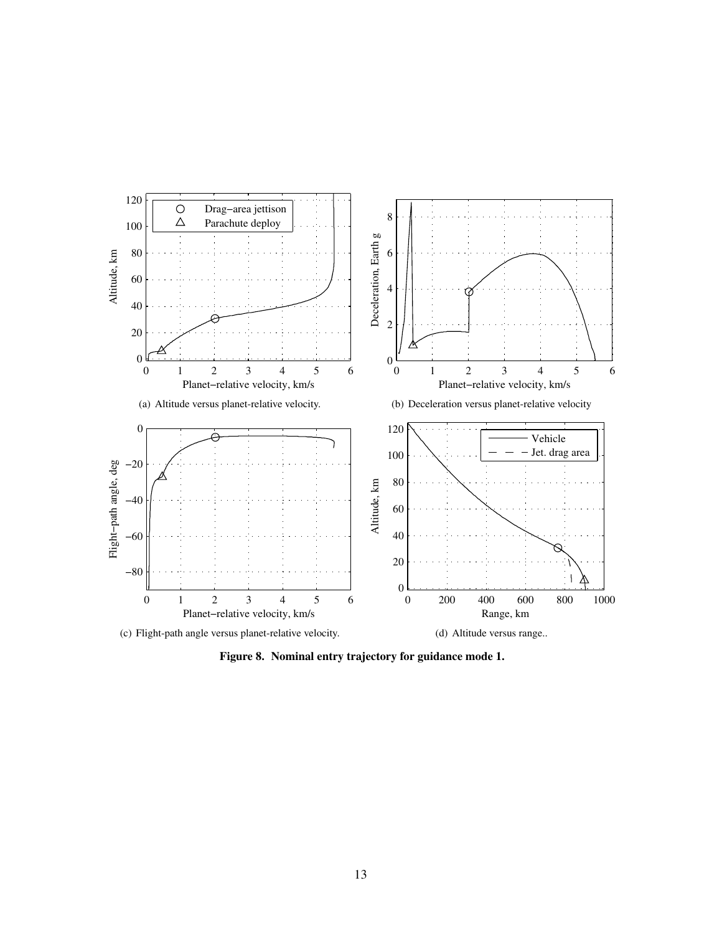<span id="page-12-3"></span><span id="page-12-1"></span>

<span id="page-12-4"></span><span id="page-12-2"></span><span id="page-12-0"></span>Figure 8. Nominal entry trajectory for guidance mode 1.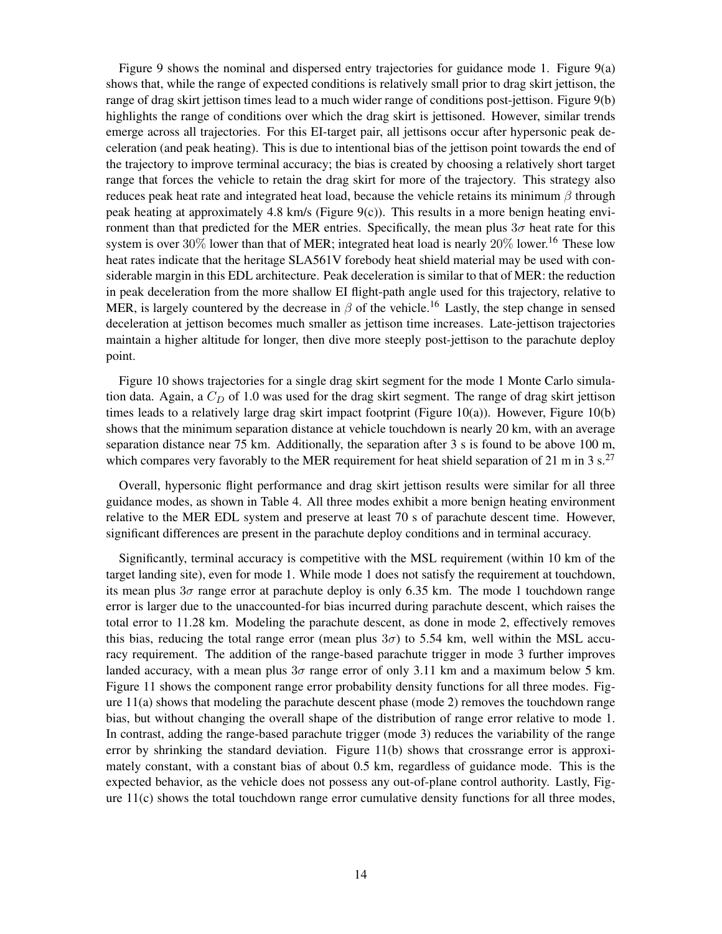Figure [9](#page-16-0) shows the nominal and dispersed entry trajectories for guidance mode 1. Figure [9\(a\)](#page-16-1) shows that, while the range of expected conditions is relatively small prior to drag skirt jettison, the range of drag skirt jettison times lead to a much wider range of conditions post-jettison. Figure [9\(b\)](#page-16-2) highlights the range of conditions over which the drag skirt is jettisoned. However, similar trends emerge across all trajectories. For this EI-target pair, all jettisons occur after hypersonic peak deceleration (and peak heating). This is due to intentional bias of the jettison point towards the end of the trajectory to improve terminal accuracy; the bias is created by choosing a relatively short target range that forces the vehicle to retain the drag skirt for more of the trajectory. This strategy also reduces peak heat rate and integrated heat load, because the vehicle retains its minimum  $\beta$  through peak heating at approximately 4.8 km/s (Figure [9\(c\)\)](#page-16-3). This results in a more benign heating environment than that predicted for the MER entries. Specifically, the mean plus  $3\sigma$  heat rate for this system is over 30% lower than that of MER; integrated heat load is nearly  $20\%$  lower.<sup>[16](#page-19-9)</sup> These low heat rates indicate that the heritage SLA561V forebody heat shield material may be used with considerable margin in this EDL architecture. Peak deceleration is similar to that of MER: the reduction in peak deceleration from the more shallow EI flight-path angle used for this trajectory, relative to MER, is largely countered by the decrease in  $\beta$  of the vehicle.<sup>[16](#page-19-9)</sup> Lastly, the step change in sensed deceleration at jettison becomes much smaller as jettison time increases. Late-jettison trajectories maintain a higher altitude for longer, then dive more steeply post-jettison to the parachute deploy point.

Figure [10](#page-16-4) shows trajectories for a single drag skirt segment for the mode 1 Monte Carlo simulation data. Again, a  $C_D$  of 1.0 was used for the drag skirt segment. The range of drag skirt jettison times leads to a relatively large drag skirt impact footprint (Figure [10\(a\)\)](#page-16-5). However, Figure [10\(b\)](#page-16-6) shows that the minimum separation distance at vehicle touchdown is nearly 20 km, with an average separation distance near 75 km. Additionally, the separation after 3 s is found to be above 100 m, which compares very favorably to the MER requirement for heat shield separation of 21 m in 3 s.<sup>[27](#page-19-20)</sup>

Overall, hypersonic flight performance and drag skirt jettison results were similar for all three guidance modes, as shown in Table [4.](#page-15-0) All three modes exhibit a more benign heating environment relative to the MER EDL system and preserve at least 70 s of parachute descent time. However, significant differences are present in the parachute deploy conditions and in terminal accuracy.

Significantly, terminal accuracy is competitive with the MSL requirement (within 10 km of the target landing site), even for mode 1. While mode 1 does not satisfy the requirement at touchdown, its mean plus  $3\sigma$  range error at parachute deploy is only 6.35 km. The mode 1 touchdown range error is larger due to the unaccounted-for bias incurred during parachute descent, which raises the total error to 11.28 km. Modeling the parachute descent, as done in mode 2, effectively removes this bias, reducing the total range error (mean plus  $3\sigma$ ) to 5.54 km, well within the MSL accuracy requirement. The addition of the range-based parachute trigger in mode 3 further improves landed accuracy, with a mean plus  $3\sigma$  range error of only 3.11 km and a maximum below 5 km. Figure [11](#page-17-0) shows the component range error probability density functions for all three modes. Figure [11\(a\)](#page-17-1) shows that modeling the parachute descent phase (mode 2) removes the touchdown range bias, but without changing the overall shape of the distribution of range error relative to mode 1. In contrast, adding the range-based parachute trigger (mode 3) reduces the variability of the range error by shrinking the standard deviation. Figure [11\(b\)](#page-17-2) shows that crossrange error is approximately constant, with a constant bias of about 0.5 km, regardless of guidance mode. This is the expected behavior, as the vehicle does not possess any out-of-plane control authority. Lastly, Figure [11\(c\)](#page-17-3) shows the total touchdown range error cumulative density functions for all three modes,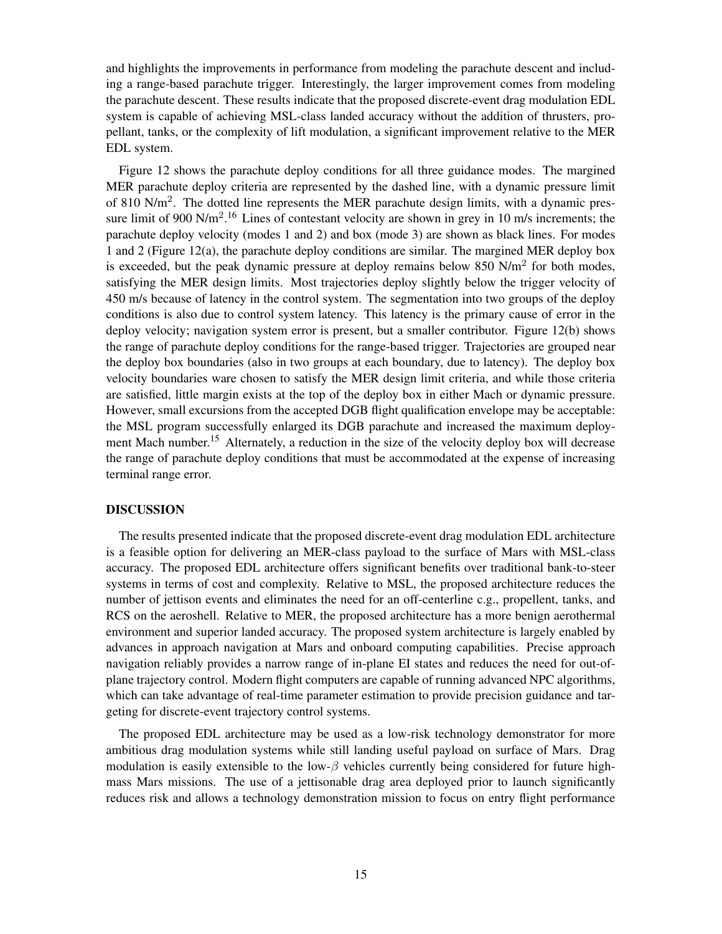and highlights the improvements in performance from modeling the parachute descent and including a range-based parachute trigger. Interestingly, the larger improvement comes from modeling the parachute descent. These results indicate that the proposed discrete-event drag modulation EDL system is capable of achieving MSL-class landed accuracy without the addition of thrusters, propellant, tanks, or the complexity of lift modulation, a significant improvement relative to the MER EDL system.

Figure [12](#page-17-4) shows the parachute deploy conditions for all three guidance modes. The margined MER parachute deploy criteria are represented by the dashed line, with a dynamic pressure limit of 810 N/m<sup>2</sup>. The dotted line represents the MER parachute design limits, with a dynamic pres-sure limit of 900 N/m<sup>2</sup>.<sup>[16](#page-19-9)</sup> Lines of contestant velocity are shown in grey in 10 m/s increments; the parachute deploy velocity (modes 1 and 2) and box (mode 3) are shown as black lines. For modes 1 and 2 (Figure [12\(a\),](#page-17-5) the parachute deploy conditions are similar. The margined MER deploy box is exceeded, but the peak dynamic pressure at deploy remains below 850  $N/m^2$  for both modes, satisfying the MER design limits. Most trajectories deploy slightly below the trigger velocity of 450 m/s because of latency in the control system. The segmentation into two groups of the deploy conditions is also due to control system latency. This latency is the primary cause of error in the deploy velocity; navigation system error is present, but a smaller contributor. Figure [12\(b\)](#page-17-6) shows the range of parachute deploy conditions for the range-based trigger. Trajectories are grouped near the deploy box boundaries (also in two groups at each boundary, due to latency). The deploy box velocity boundaries ware chosen to satisfy the MER design limit criteria, and while those criteria are satisfied, little margin exists at the top of the deploy box in either Mach or dynamic pressure. However, small excursions from the accepted DGB flight qualification envelope may be acceptable: the MSL program successfully enlarged its DGB parachute and increased the maximum deploy-ment Mach number.<sup>[15](#page-19-8)</sup> Alternately, a reduction in the size of the velocity deploy box will decrease the range of parachute deploy conditions that must be accommodated at the expense of increasing terminal range error.

#### DISCUSSION

The results presented indicate that the proposed discrete-event drag modulation EDL architecture is a feasible option for delivering an MER-class payload to the surface of Mars with MSL-class accuracy. The proposed EDL architecture offers significant benefits over traditional bank-to-steer systems in terms of cost and complexity. Relative to MSL, the proposed architecture reduces the number of jettison events and eliminates the need for an off-centerline c.g., propellent, tanks, and RCS on the aeroshell. Relative to MER, the proposed architecture has a more benign aerothermal environment and superior landed accuracy. The proposed system architecture is largely enabled by advances in approach navigation at Mars and onboard computing capabilities. Precise approach navigation reliably provides a narrow range of in-plane EI states and reduces the need for out-ofplane trajectory control. Modern flight computers are capable of running advanced NPC algorithms, which can take advantage of real-time parameter estimation to provide precision guidance and targeting for discrete-event trajectory control systems.

The proposed EDL architecture may be used as a low-risk technology demonstrator for more ambitious drag modulation systems while still landing useful payload on surface of Mars. Drag modulation is easily extensible to the low- $\beta$  vehicles currently being considered for future highmass Mars missions. The use of a jettisonable drag area deployed prior to launch significantly reduces risk and allows a technology demonstration mission to focus on entry flight performance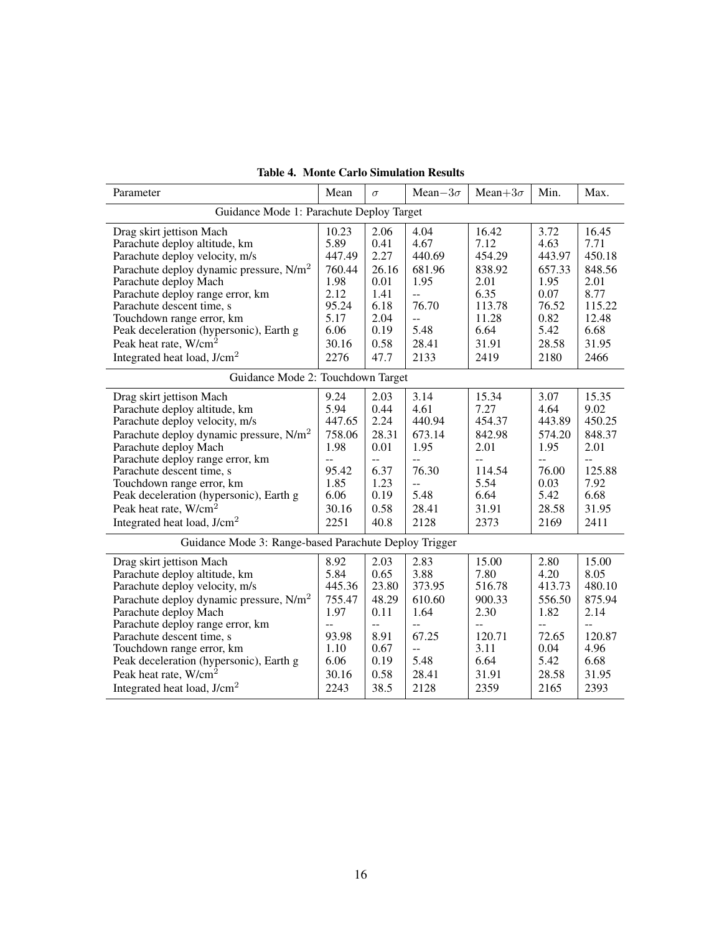| Parameter                                                                                                                                                                                                                                                                                                                                                                                  | Mean                                                                                                 | $\sigma$                                                                              | Mean $-3\sigma$                                                                                    | Mean+ $3\sigma$                                                                                        | Min.                                                                                                 | Max.                                                                                          |
|--------------------------------------------------------------------------------------------------------------------------------------------------------------------------------------------------------------------------------------------------------------------------------------------------------------------------------------------------------------------------------------------|------------------------------------------------------------------------------------------------------|---------------------------------------------------------------------------------------|----------------------------------------------------------------------------------------------------|--------------------------------------------------------------------------------------------------------|------------------------------------------------------------------------------------------------------|-----------------------------------------------------------------------------------------------|
|                                                                                                                                                                                                                                                                                                                                                                                            | Guidance Mode 1: Parachute Deploy Target                                                             |                                                                                       |                                                                                                    |                                                                                                        |                                                                                                      |                                                                                               |
| Drag skirt jettison Mach<br>Parachute deploy altitude, km<br>Parachute deploy velocity, m/s<br>Parachute deploy dynamic pressure, $N/m2$<br>Parachute deploy Mach<br>Parachute deploy range error, km<br>Parachute descent time, s<br>Touchdown range error, km<br>Peak deceleration (hypersonic), Earth g<br>Peak heat rate, W/cm <sup>2</sup><br>Integrated heat load, J/cm <sup>2</sup> | 10.23<br>5.89<br>447.49<br>760.44<br>1.98<br>2.12<br>95.24<br>5.17<br>6.06<br>30.16<br>2276          | 2.06<br>0.41<br>2.27<br>26.16<br>0.01<br>1.41<br>6.18<br>2.04<br>0.19<br>0.58<br>47.7 | 4.04<br>4.67<br>440.69<br>681.96<br>1.95<br>--<br>76.70<br>44<br>5.48<br>28.41<br>2133             | 16.42<br>7.12<br>454.29<br>838.92<br>2.01<br>6.35<br>113.78<br>11.28<br>6.64<br>31.91<br>2419          | 3.72<br>4.63<br>443.97<br>657.33<br>1.95<br>0.07<br>76.52<br>0.82<br>5.42<br>28.58<br>2180           | 16.45<br>7.71<br>450.18<br>848.56<br>2.01<br>8.77<br>115.22<br>12.48<br>6.68<br>31.95<br>2466 |
| Guidance Mode 2: Touchdown Target                                                                                                                                                                                                                                                                                                                                                          |                                                                                                      |                                                                                       |                                                                                                    |                                                                                                        |                                                                                                      |                                                                                               |
| Drag skirt jettison Mach<br>Parachute deploy altitude, km<br>Parachute deploy velocity, m/s<br>Parachute deploy dynamic pressure, $N/m2$<br>Parachute deploy Mach<br>Parachute deploy range error, km<br>Parachute descent time, s<br>Touchdown range error, km<br>Peak deceleration (hypersonic), Earth g<br>Peak heat rate, W/cm <sup>2</sup><br>Integrated heat load, J/cm <sup>2</sup> | 9.24<br>5.94<br>447.65<br>758.06<br>1.98<br>$\overline{a}$<br>95.42<br>1.85<br>6.06<br>30.16<br>2251 | 2.03<br>0.44<br>2.24<br>28.31<br>0.01<br>44<br>6.37<br>1.23<br>0.19<br>0.58<br>40.8   | 3.14<br>4.61<br>440.94<br>673.14<br>1.95<br>44<br>76.30<br>--<br>5.48<br>28.41<br>2128             | 15.34<br>7.27<br>454.37<br>842.98<br>2.01<br>$-$<br>114.54<br>5.54<br>6.64<br>31.91<br>2373            | 3.07<br>4.64<br>443.89<br>574.20<br>1.95<br>$-$<br>76.00<br>0.03<br>5.42<br>28.58<br>2169            | 15.35<br>9.02<br>450.25<br>848.37<br>2.01<br>$-$<br>125.88<br>7.92<br>6.68<br>31.95<br>2411   |
|                                                                                                                                                                                                                                                                                                                                                                                            | Guidance Mode 3: Range-based Parachute Deploy Trigger                                                |                                                                                       |                                                                                                    |                                                                                                        |                                                                                                      |                                                                                               |
| Drag skirt jettison Mach<br>Parachute deploy altitude, km<br>Parachute deploy velocity, m/s<br>Parachute deploy dynamic pressure, $N/m2$<br>Parachute deploy Mach<br>Parachute deploy range error, km<br>Parachute descent time, s<br>Touchdown range error, km<br>Peak deceleration (hypersonic), Earth g<br>Peak heat rate, W/cm <sup>2</sup><br>Integrated heat load, $J/cm2$           | 8.92<br>5.84<br>445.36<br>755.47<br>1.97<br>$\overline{a}$<br>93.98<br>1.10<br>6.06<br>30.16<br>2243 | 2.03<br>0.65<br>23.80<br>48.29<br>0.11<br>44<br>8.91<br>0.67<br>0.19<br>0.58<br>38.5  | 2.83<br>3.88<br>373.95<br>610.60<br>1.64<br>--<br>67.25<br>$\overline{a}$<br>5.48<br>28.41<br>2128 | 15.00<br>7.80<br>516.78<br>900.33<br>2.30<br>$\overline{a}$<br>120.71<br>3.11<br>6.64<br>31.91<br>2359 | 2.80<br>4.20<br>413.73<br>556.50<br>1.82<br>$\overline{a}$<br>72.65<br>0.04<br>5.42<br>28.58<br>2165 | 15.00<br>8.05<br>480.10<br>875.94<br>2.14<br>$-$<br>120.87<br>4.96<br>6.68<br>31.95<br>2393   |

<span id="page-15-0"></span>Table 4. Monte Carlo Simulation Results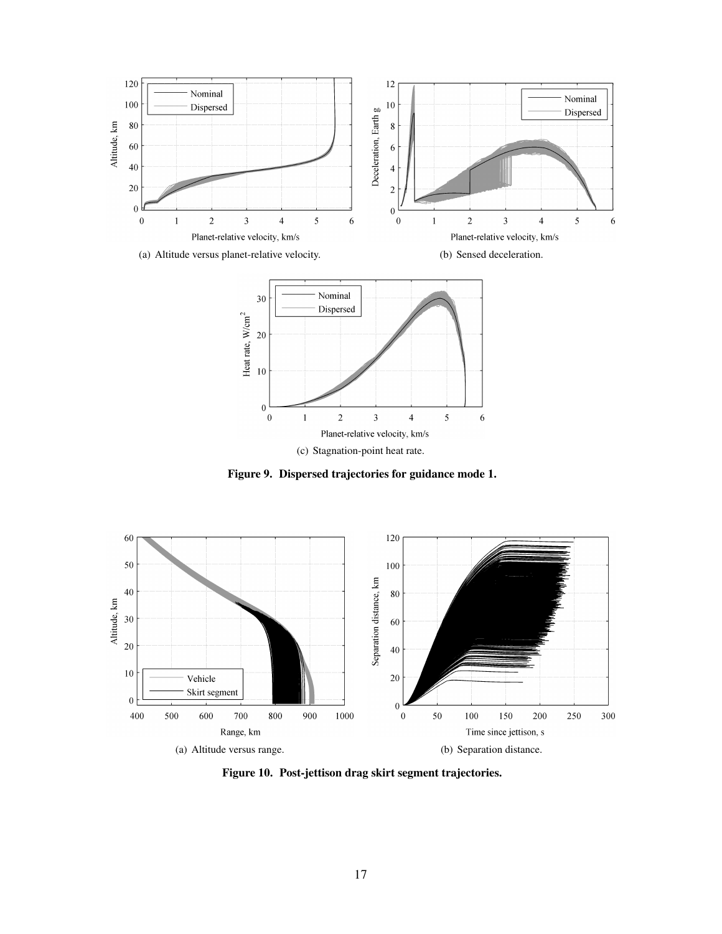<span id="page-16-3"></span><span id="page-16-1"></span>

<span id="page-16-2"></span><span id="page-16-0"></span>Figure 9. Dispersed trajectories for guidance mode 1.

<span id="page-16-5"></span>

<span id="page-16-6"></span><span id="page-16-4"></span>Figure 10. Post-jettison drag skirt segment trajectories.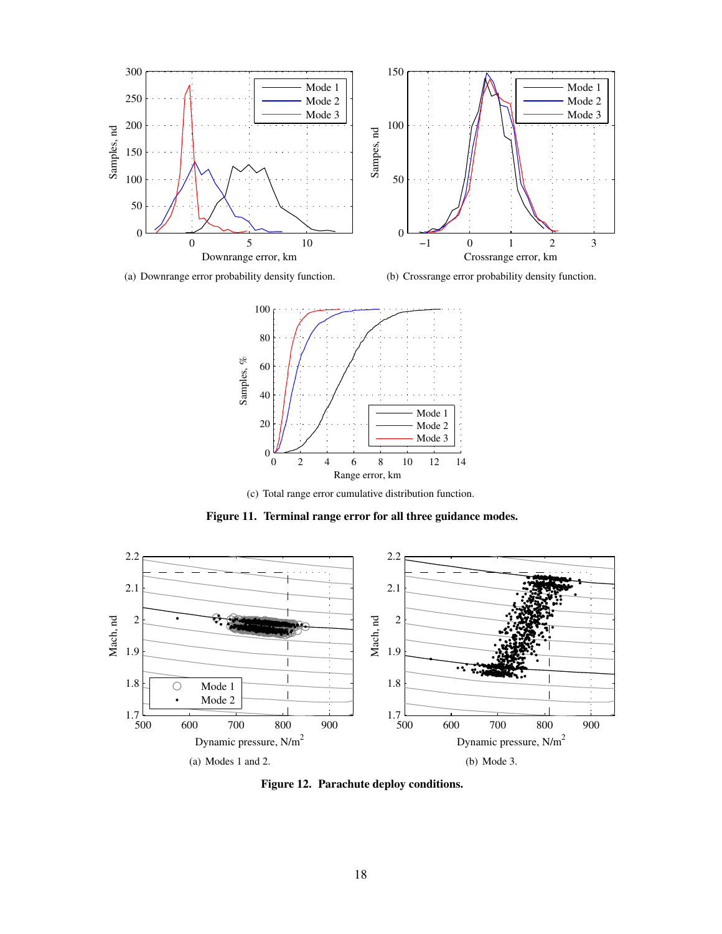<span id="page-17-1"></span>

<span id="page-17-3"></span>(a) Downrange error probability density function.

<span id="page-17-2"></span>(b) Crossrange error probability density function.



<span id="page-17-0"></span>(c) Total range error cumulative distribution function.

Figure 11. Terminal range error for all three guidance modes.

<span id="page-17-5"></span>

<span id="page-17-6"></span><span id="page-17-4"></span>Figure 12. Parachute deploy conditions.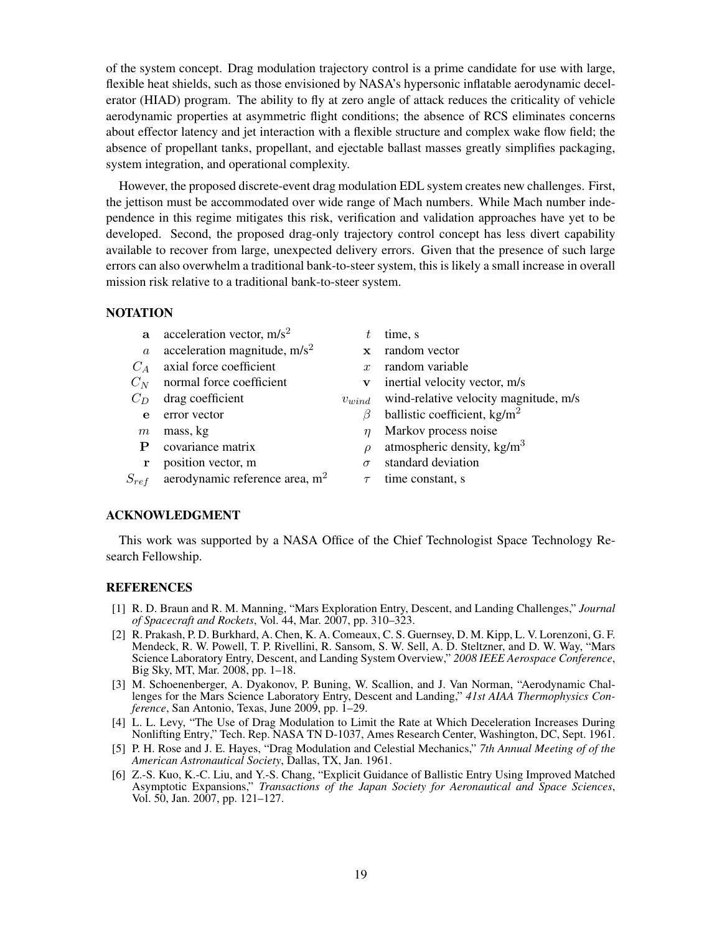of the system concept. Drag modulation trajectory control is a prime candidate for use with large, flexible heat shields, such as those envisioned by NASA's hypersonic inflatable aerodynamic decelerator (HIAD) program. The ability to fly at zero angle of attack reduces the criticality of vehicle aerodynamic properties at asymmetric flight conditions; the absence of RCS eliminates concerns about effector latency and jet interaction with a flexible structure and complex wake flow field; the absence of propellant tanks, propellant, and ejectable ballast masses greatly simplifies packaging, system integration, and operational complexity.

However, the proposed discrete-event drag modulation EDL system creates new challenges. First, the jettison must be accommodated over wide range of Mach numbers. While Mach number independence in this regime mitigates this risk, verification and validation approaches have yet to be developed. Second, the proposed drag-only trajectory control concept has less divert capability available to recover from large, unexpected delivery errors. Given that the presence of such large errors can also overwhelm a traditional bank-to-steer system, this is likely a small increase in overall mission risk relative to a traditional bank-to-steer system.

## **NOTATION**

| $\mathbf{a}$ | acceleration vector, $m/s2$      |               | time, s                               |
|--------------|----------------------------------|---------------|---------------------------------------|
| $\alpha$     | acceleration magnitude, $m/s2$   | $\mathbf{x}$  | random vector                         |
| $C_A$        | axial force coefficient          | $\mathcal{L}$ | random variable                       |
| $C_N$        | normal force coefficient         | v             | inertial velocity vector, m/s         |
| $C_D$        | drag coefficient                 | $v_{wind}$    | wind-relative velocity magnitude, m/s |
| e            | error vector                     | B             | ballistic coefficient, $kg/m2$        |
| $m\,$        | mass, kg                         | $\eta$        | Markov process noise                  |
| P            | covariance matrix                | $\rho$        | atmospheric density, $kg/m3$          |
|              | position vector, m               | $\sigma$      | standard deviation                    |
| $S_{ref}$    | aerodynamic reference area, $m2$ |               | time constant, s                      |
|              |                                  |               |                                       |

## ACKNOWLEDGMENT

This work was supported by a NASA Office of the Chief Technologist Space Technology Research Fellowship.

#### REFERENCES

- <span id="page-18-0"></span>[1] R. D. Braun and R. M. Manning, "Mars Exploration Entry, Descent, and Landing Challenges," *Journal of Spacecraft and Rockets*, Vol. 44, Mar. 2007, pp. 310–323.
- <span id="page-18-1"></span>[2] R. Prakash, P. D. Burkhard, A. Chen, K. A. Comeaux, C. S. Guernsey, D. M. Kipp, L. V. Lorenzoni, G. F. Mendeck, R. W. Powell, T. P. Rivellini, R. Sansom, S. W. Sell, A. D. Steltzner, and D. W. Way, "Mars Science Laboratory Entry, Descent, and Landing System Overview," *2008 IEEE Aerospace Conference*, Big Sky, MT, Mar. 2008, pp. 1–18.
- <span id="page-18-2"></span>[3] M. Schoenenberger, A. Dyakonov, P. Buning, W. Scallion, and J. Van Norman, "Aerodynamic Challenges for the Mars Science Laboratory Entry, Descent and Landing," *41st AIAA Thermophysics Conference*, San Antonio, Texas, June 2009, pp. 1–29.
- <span id="page-18-3"></span>[4] L. L. Levy, "The Use of Drag Modulation to Limit the Rate at Which Deceleration Increases During Nonlifting Entry," Tech. Rep. NASA TN D-1037, Ames Research Center, Washington, DC, Sept. 1961.
- <span id="page-18-4"></span>[5] P. H. Rose and J. E. Hayes, "Drag Modulation and Celestial Mechanics," *7th Annual Meeting of of the American Astronautical Society*, Dallas, TX, Jan. 1961.
- <span id="page-18-5"></span>[6] Z.-S. Kuo, K.-C. Liu, and Y.-S. Chang, "Explicit Guidance of Ballistic Entry Using Improved Matched Asymptotic Expansions," *Transactions of the Japan Society for Aeronautical and Space Sciences*, Vol. 50, Jan. 2007, pp. 121–127.